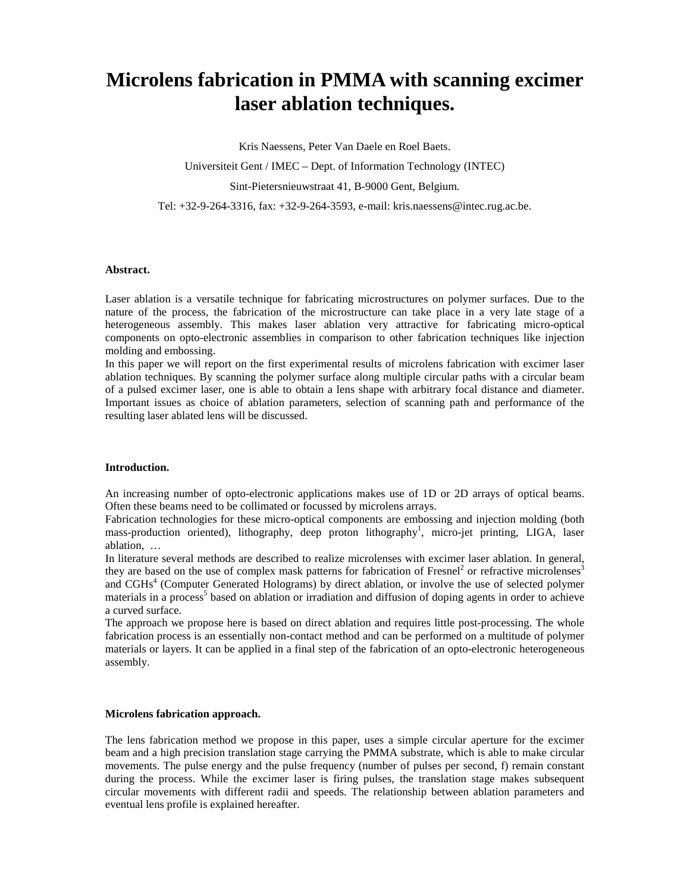# **Microlens fabrication in PMMA with scanning excimer laser ablation techniques.**

Kris Naessens, Peter Van Daele en Roel Baets.

Universiteit Gent / IMEC – Dept. of Information Technology (INTEC)

Sint-Pietersnieuwstraat 41, B-9000 Gent, Belgium.

Tel: +32-9-264-3316, fax: +32-9-264-3593, e-mail: kris.naessens@intec.rug.ac.be.

## **Abstract.**

Laser ablation is a versatile technique for fabricating microstructures on polymer surfaces. Due to the nature of the process, the fabrication of the microstructure can take place in a very late stage of a heterogeneous assembly. This makes laser ablation very attractive for fabricating micro-optical components on opto-electronic assemblies in comparison to other fabrication techniques like injection molding and embossing.

In this paper we will report on the first experimental results of microlens fabrication with excimer laser ablation techniques. By scanning the polymer surface along multiple circular paths with a circular beam of a pulsed excimer laser, one is able to obtain a lens shape with arbitrary focal distance and diameter. Important issues as choice of ablation parameters, selection of scanning path and performance of the resulting laser ablated lens will be discussed.

#### **Introduction.**

An increasing number of opto-electronic applications makes use of 1D or 2D arrays of optical beams. Often these beams need to be collimated or focussed by microlens arrays.

Fabrication technologies for these micro-optical components are embossing and injection molding (both mass-production oriented), lithography, deep proton lithography<sup>1</sup>, micro-jet printing, LIGA, laser ablation, …

In literature several methods are described to realize microlenses with excimer laser ablation. In general, they are based on the use of complex mask patterns for fabrication of Fresnel<sup>2</sup> or refractive microlenses<sup>3</sup> and CGHs<sup>4</sup> (Computer Generated Holograms) by direct ablation, or involve the use of selected polymer materials in a process 5 based on ablation or irradiation and diffusion of doping agents in order to achieve a curved surface.

The approach we propose here is based on direct ablation and requires little post-processing. The whole fabrication process is an essentially non-contact method and can be performed on a multitude of polymer materials or layers. It can be applied in a final step of the fabrication of an opto-electronic heterogeneous assembly.

## **Microlens fabrication approach.**

The lens fabrication method we propose in this paper, uses a simple circular aperture for the excimer beam and a high precision translation stage carrying the PMMA substrate, which is able to make circular movements. The pulse energy and the pulse frequency (number of pulses per second, f) remain constant during the process. While the excimer laser is firing pulses, the translation stage makes subsequent circular movements with different radii and speeds. The relationship between ablation parameters and eventual lens profile is explained hereafter.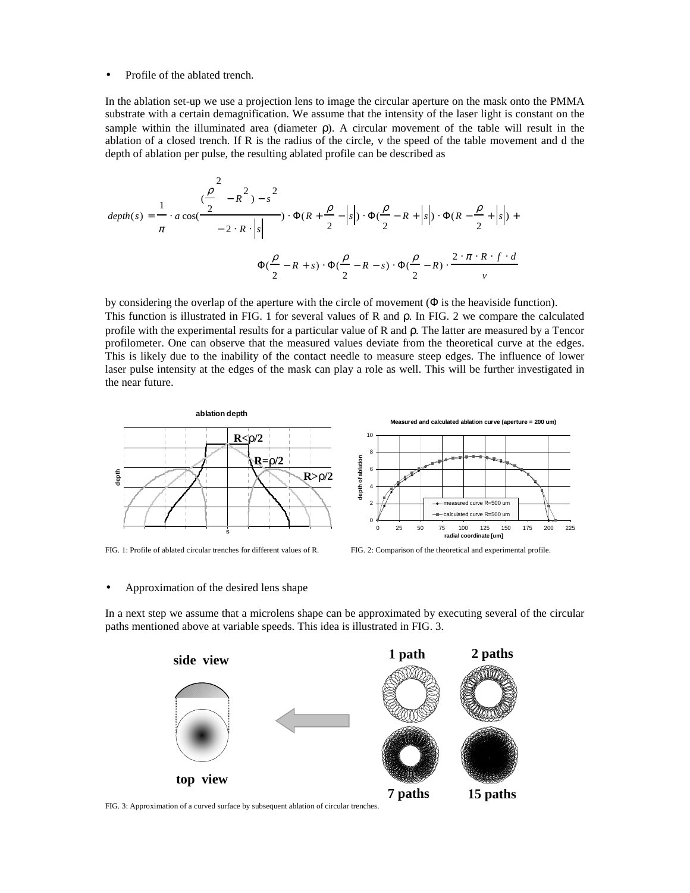Profile of the ablated trench.

In the ablation set-up we use a projection lens to image the circular aperture on the mask onto the PMMA substrate with a certain demagnification. We assume that the intensity of the laser light is constant on the sample within the illuminated area (diameter ρ). A circular movement of the table will result in the ablation of a closed trench. If R is the radius of the circle, v the speed of the table movement and d the depth of ablation per pulse, the resulting ablated profile can be described as

$$
depth(s) = \frac{1}{\pi} \cdot a \cos(\frac{\frac{\rho}{2} - R^2) - s^2}{-2 \cdot R \cdot |s|} \cdot \Phi(R + \frac{\rho}{2} - |s|) \cdot \Phi(\frac{\rho}{2} - R + |s|) \cdot \Phi(R - \frac{\rho}{2} + |s|) +
$$

$$
\Phi(\frac{\rho}{2} - R + s) \cdot \Phi(\frac{\rho}{2} - R - s) \cdot \Phi(\frac{\rho}{2} - R) \cdot \frac{2 \cdot \pi \cdot R \cdot f \cdot d}{v}
$$

by considering the overlap of the aperture with the circle of movement (Φ is the heaviside function). This function is illustrated in FIG. 1 for several values of R and ρ. In FIG. 2 we compare the calculated profile with the experimental results for a particular value of R and ρ. The latter are measured by a Tencor profilometer. One can observe that the measured values deviate from the theoretical curve at the edges. This is likely due to the inability of the contact needle to measure steep edges. The influence of lower laser pulse intensity at the edges of the mask can play a role as well. This will be further investigated in the near future.





#### • Approximation of the desired lens shape

In a next step we assume that a microlens shape can be approximated by executing several of the circular paths mentioned above at variable speeds. This idea is illustrated in FIG. 3.



FIG. 3: Approximation of a curved surface by subsequent ablation of circular trenches.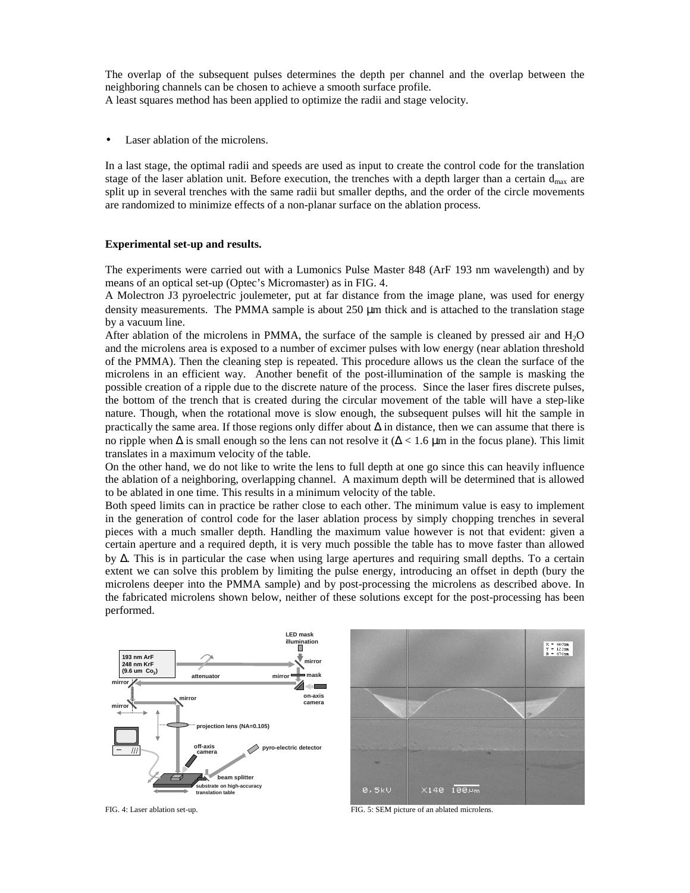The overlap of the subsequent pulses determines the depth per channel and the overlap between the neighboring channels can be chosen to achieve a smooth surface profile.

A least squares method has been applied to optimize the radii and stage velocity.

Laser ablation of the microlens.

In a last stage, the optimal radii and speeds are used as input to create the control code for the translation stage of the laser ablation unit. Before execution, the trenches with a depth larger than a certain  $d_{max}$  are split up in several trenches with the same radii but smaller depths, and the order of the circle movements are randomized to minimize effects of a non-planar surface on the ablation process.

## **Experimental set-up and results.**

The experiments were carried out with a Lumonics Pulse Master 848 (ArF 193 nm wavelength) and by means of an optical set-up (Optec's Micromaster) as in FIG. 4.

A Molectron J3 pyroelectric joulemeter, put at far distance from the image plane, was used for energy density measurements. The PMMA sample is about  $250 \mu m$  thick and is attached to the translation stage by a vacuum line.

After ablation of the microlens in PMMA, the surface of the sample is cleaned by pressed air and H2O and the microlens area is exposed to a number of excimer pulses with low energy (near ablation threshold of the PMMA). Then the cleaning step is repeated. This procedure allows us the clean the surface of the microlens in an efficient way. Another benefit of the post-illumination of the sample is masking the possible creation of a ripple due to the discrete nature of the process. Since the laser fires discrete pulses, the bottom of the trench that is created during the circular movement of the table will have a step-like nature. Though, when the rotational move is slow enough, the subsequent pulses will hit the sample in practically the same area. If those regions only differ about ∆ in distance, then we can assume that there is no ripple when  $\Delta$  is small enough so the lens can not resolve it ( $\Delta < 1.6$  µm in the focus plane). This limit translates in a maximum velocity of the table.

On the other hand, we do not like to write the lens to full depth at one go since this can heavily influence the ablation of a neighboring, overlapping channel. A maximum depth will be determined that is allowed to be ablated in one time. This results in a minimum velocity of the table.

Both speed limits can in practice be rather close to each other. The minimum value is easy to implement in the generation of control code for the laser ablation process by simply chopping trenches in several pieces with a much smaller depth. Handling the maximum value however is not that evident: given a certain aperture and a required depth, it is very much possible the table has to move faster than allowed by ∆. This is in particular the case when using large apertures and requiring small depths. To a certain extent we can solve this problem by limiting the pulse energy, introducing an offset in depth (bury the microlens deeper into the PMMA sample) and by post-processing the microlens as described above. In the fabricated microlens shown below, neither of these solutions except for the post-processing has been performed.



FIG. 4: Laser ablation set-up. FIG. 5: SEM picture of an ablated microlens.